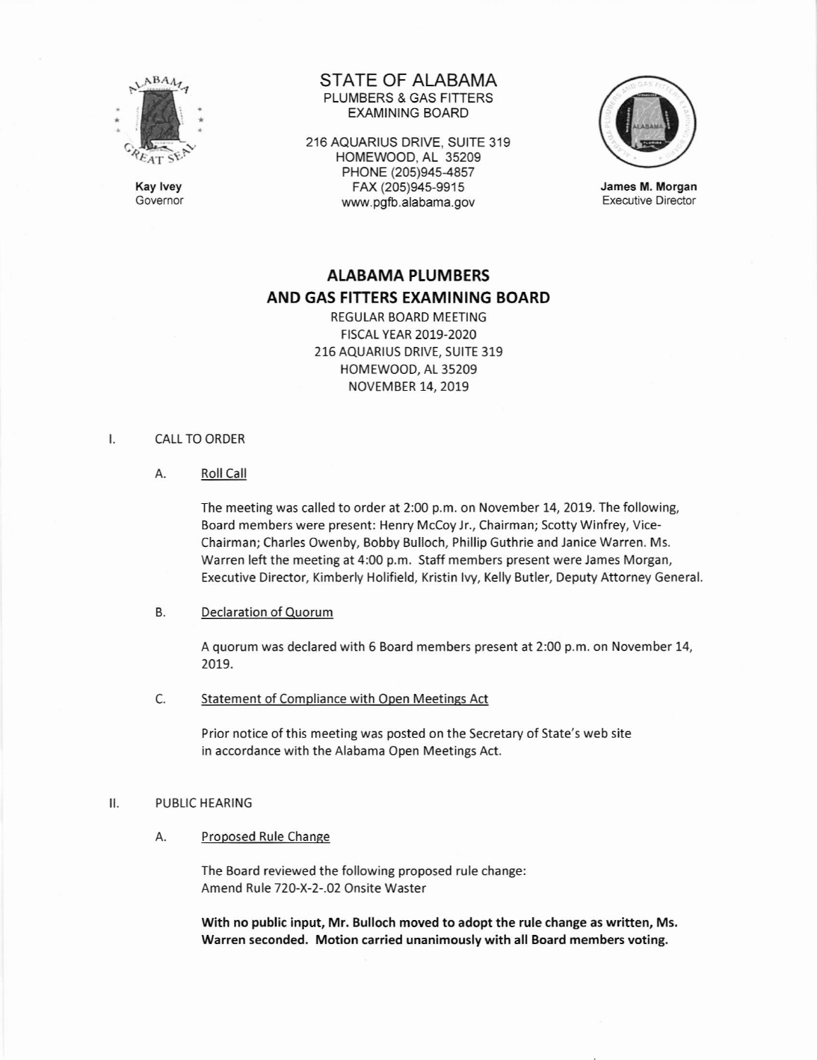

Kay lvey Governor

# STATE OF ALABAMA PLUMBERS & GAS FITTERS EXAMINING BOARD

216 AQUARIUS DRIVE, SUITE 319 HOMEWOOD, AL 35209 PHONE (205)945-4857 FAX (20s)945-9915 www.pgfb.alabama.gov



James M. Morgan Executive Director

# ALABAMA PLUMBERS AND GAS FITTERS EXAMINING BOARD

REGULAR BOARD MEETING FtscAL YEAR 2019-2020 216 AQUARIUS DRIVE, SUITE 319 HOMEWOOD, AL 35209 NOVEMBER 14, 2019

#### $\mathsf{L}$ CALL TO ORDER

A. Roll Call

The meeting was called to order at 2:00 p.m. on November 14, 2019. The following, Board members were present: Henry Mccoylr., Chairman; Scotty Winfrey, Vice-Chairman; Charles Owenby, Bobby Bulloch, Phillip Guthrie and lanice Warren. Ms. Warren left the meeting at 4:00 p.m. Staff members present were James Morgan, Executive Director, Kimberly Holifield, Kristin lvy, Kelly Butler, Deputy Attorney General.

# B. Decla ration of Quorum

A quorum was declared with 6 Board members present at 2:00 p.m. on November 14, 2019.

C. Statement of Compliance with Open Meetings Act

Prior notice of this meeting was posted on the Secretary of State's web site in accordance with the Alabama Open Meetings Act.

#### $II.$ PUBLIC HEARING

A. Proposed Rule Change

The Board reviewed the following proposed rule change: Amend Rule 720-X-2-.02 Onsite Waster

With no public input, Mr. Bulloch moved to adopt the rule change as written, Ms. Warren seconded. Motion carried unanimously with all Board members voting.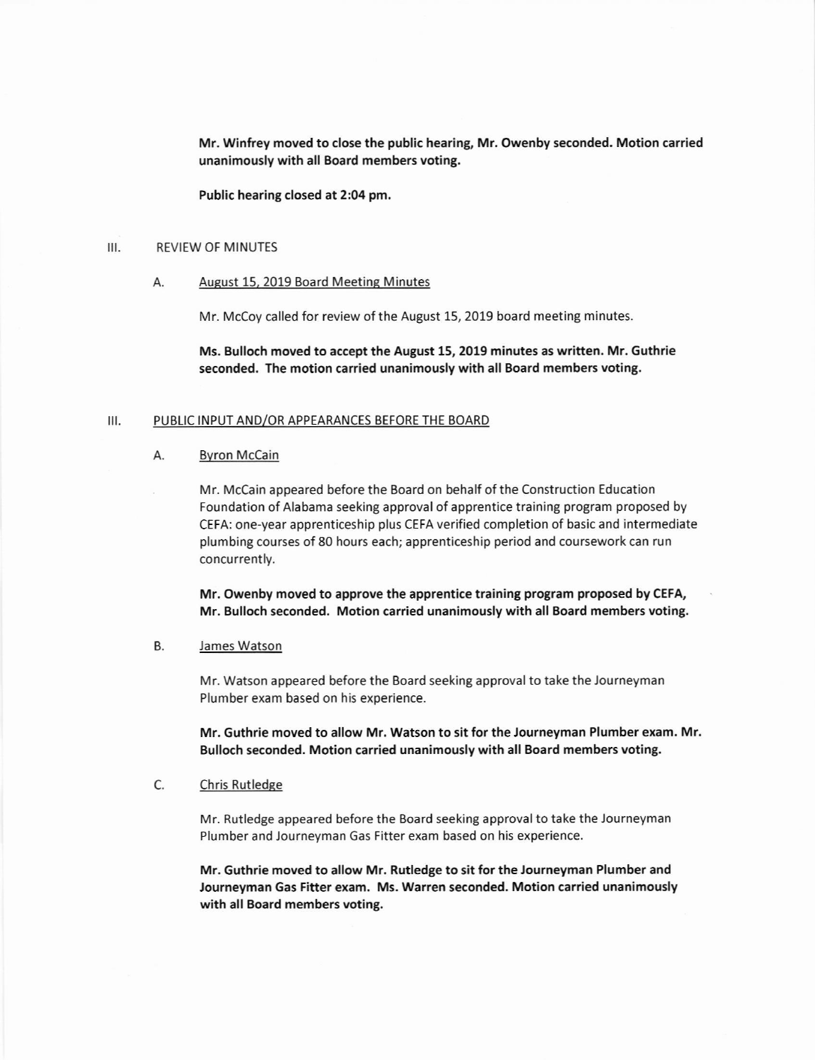Mr. Winfrey moved to close the public hearing, Mr. Owenby seconded. Motion carried unanimously with all Board members voting.

Public hearing closed at 2:04 pm,

# III. REVIEW OF MINUTES

### A. August 15, 2019 Board Meeting Minutes

Mr. McCoy called for review of the August 15, 2019 board meeting minutes.

Ms. Bulloch moved to accept the August 15,2019 minutes as written. Mr. Guthrie seconded. The motion carried unanimously with all Board members voting.

## III. PUBLIC INPUT AND/OR APPEARANCES BEFORE THE BOARD

### A. Bvron Mccain

Mr. McCain appeared before the Board on behalf of the Construction Education Foundation of Alabama seeking approval of apprentice training program proposed by CEFA: one-year apprenticeship plus CEFA verified completion of basic and intermediate plumbing courses of 80 hours each; apprenticeship period and coursework can run concurrently.

Mr. Owenby moved to approve the apprentice training program proposed by CEFA, Mr. Bulloch seconded. Motion carried unanimously with all Board members voting.

# B. James Watson

Mr. Watson appeared before the Board seeking approval to take the Journeyman Plumber exam based on his experience.

Mr. Guthrie moved to allow Mr. Watson to sit for the Journeyman Plumber exam. Mr. Bulloch seconded. Motion carried unanimously with all Board members voting.

# C. Chris Rutledge

Mr. Rutledge appeared before the Board seeking approval to take the Journeyman Plumber and Journeyman Gas Fitter exam based on his experience.

Mr. Guthrie moved to allow Mr. Rutledge to sit for the Journeyman Plumber and Journeyman Gas Fitter exam. Ms. warren seconded. Motion carried unanimously with all Board members voting.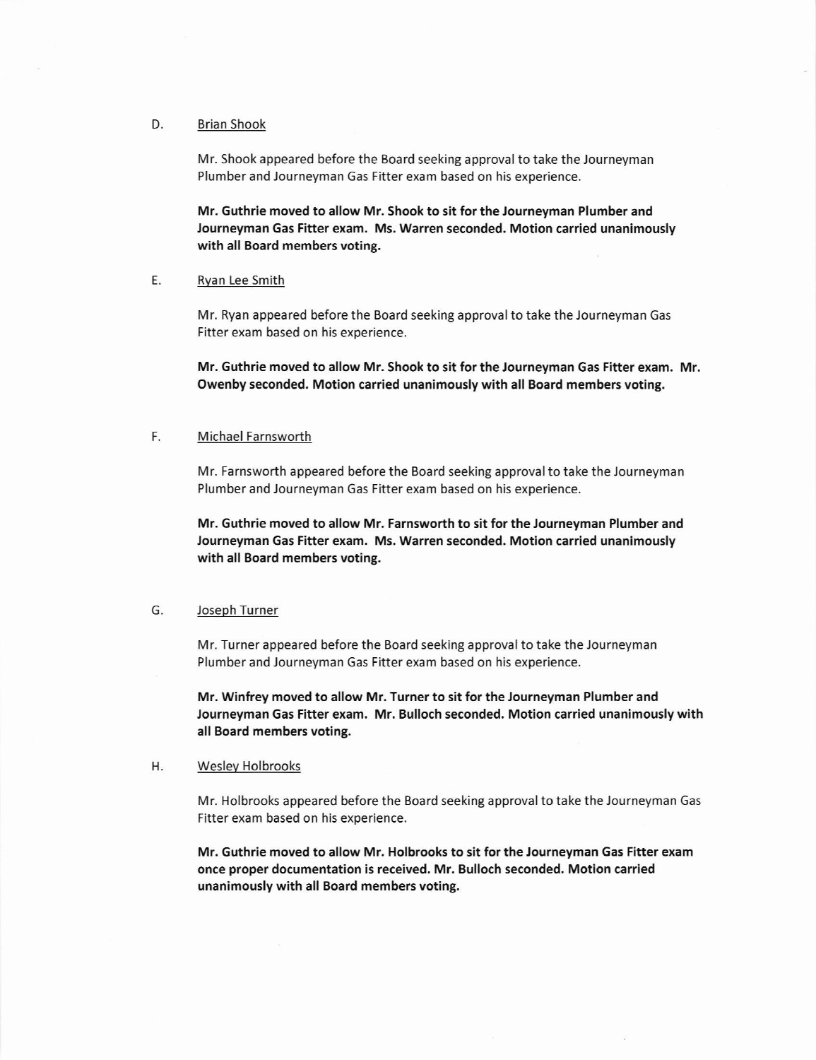### D. Brian Shook

Mr. Shook appeared before the Board seeking approval to take the Journeyman Plumber and Journeyman Gas Fitter exam based on his experience.

Mr. Guthrie moved to allow Mr. Shook to sit for the Journeyman Plumber and Journeyman Gas Fitter exam. Ms. Warren seconded. Motion carried unanimously with all Board members voting.

#### Rvan Lee Smith E

Mr. Ryan appeared before the Board seeking approval to take the Journeyman Gas Fitter exam based on his experience.

Mr, Guthrie moved to allow Mr. Shook to sit for the Journeyman Gas Fitter exam. Mr. Owenby seconded. Motion carried unanimously with all Board members voting.

#### Michael Farnsworth F

Mr. Farnsworth appeared before the Board seeking approval to take the Journeyman Plumber and Journeyman Gas Fitter exam based on his experience.

Mr. Guthrie moved to allow Mr. Farnsworth to sit for the Journeyman Plumber and Journeyman 6as Fitter exam. Ms. Warren seconded. Motion carried unanimously with all Board members voting.

## G. Joseph Turner

Mr. Turner appeared before the Board seeking approval to take the Journeyman Plumber and Journeyman Gas Fitter exam based on his experience.

Mr. Winfrey moved to allow Mr. Turner to sit for the Journeyman Plumber and Journeyman Gas Fitter exam, Mr. Bulloch seconded. Motion carried unanimously with all Board members voting.

# H. Weslev Holbrooks

Mr. Holbrooks appeared before the Board seeking approvalto take the Journeyman Gas Fitter exam based on his experience.

Mr. Guthrie moved to allow Mr. Holbrooks to sit for the Journeyman Gas Fitter exam once proper documentation is received. Mr. Bulloch seconded. Motion carried unanimously with all Board members voting.